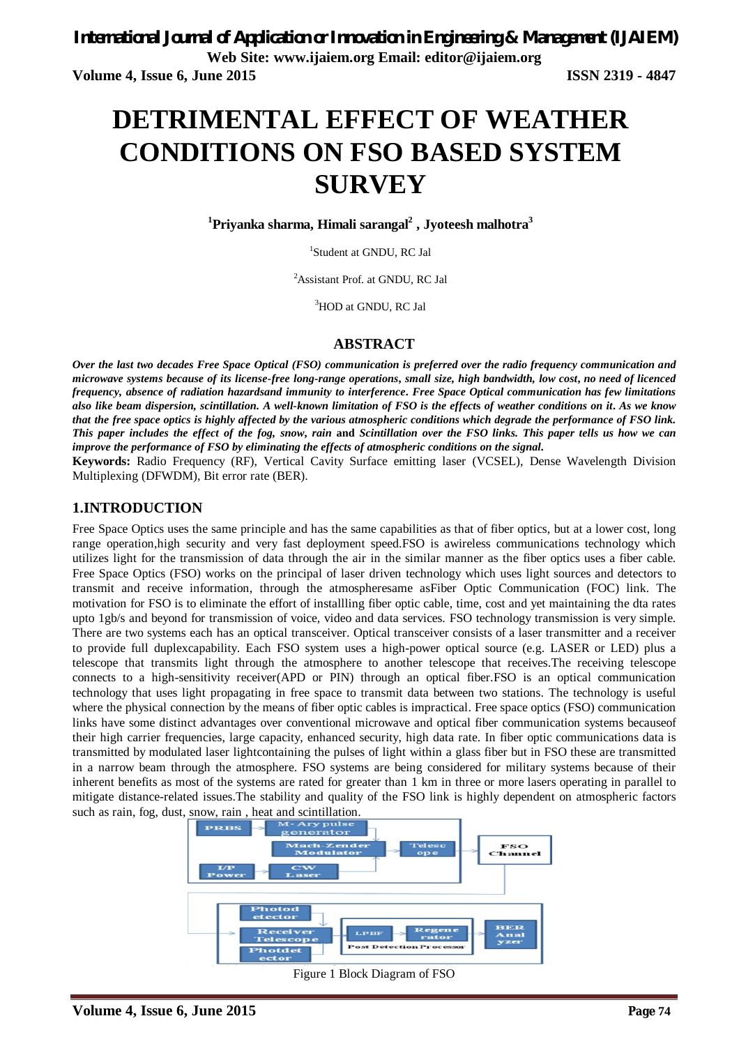# **DETRIMENTAL EFFECT OF WEATHER CONDITIONS ON FSO BASED SYSTEM SURVEY**

**<sup>1</sup>Priyanka sharma, Himali sarangal<sup>2</sup> , Jyoteesh malhotra<sup>3</sup>**

1 Student at GNDU, RC Jal

<sup>2</sup>Assistant Prof. at GNDU, RC Jal

<sup>3</sup>HOD at GNDU, RC Jal

#### **ABSTRACT**

*Over the last two decades Free Space Optical (FSO) communication is preferred over the radio frequency communication and microwave systems because of its license-free long-range operations***,** *small size, high bandwidth, low cost***,** *no need of licenced frequency, absence of radiation hazardsand immunity to interference***.** *Free Space Optical communication has few limitations also like beam dispersion, scintillation. A well-known limitation of FSO is the effect***s** *of weather conditions on it***.** *As we know that the free space optics is highly affected by the various atmospheric conditions which degrade the performance of FSO link. This paper includes the effect of the fog, snow***,** *rain* **and** *Scintillation over the FSO links. This paper tells us how we can improve the performance of FSO by eliminating the effects of atmospheric conditions on the signal.*

**Keywords:** Radio Frequency (RF), Vertical Cavity Surface emitting laser (VCSEL), Dense Wavelength Division Multiplexing (DFWDM), Bit error rate (BER).

#### **1.INTRODUCTION**

Free Space Optics uses the same principle and has the same capabilities as that of fiber optics, but at a lower cost, long range operation,high security and very fast deployment speed.FSO is awireless communications technology which utilizes light for the transmission of data through the air in the similar manner as the fiber optics uses a fiber cable. Free Space Optics (FSO) works on the principal of laser driven technology which uses light sources and detectors to transmit and receive information, through the atmospheresame asFiber Optic Communication (FOC) link. The motivation for FSO is to eliminate the effort of installling fiber optic cable, time, cost and yet maintaining the dta rates upto 1gb/s and beyond for transmission of voice, video and data services. FSO technology transmission is very simple. There are two systems each has an optical transceiver. Optical transceiver consists of a laser transmitter and a receiver to provide full duplexcapability. Each FSO system uses a high-power optical source (e.g. LASER or LED) plus a telescope that transmits light through the atmosphere to another telescope that receives.The receiving telescope connects to a high-sensitivity receiver(APD or PIN) through an optical fiber.FSO is an optical communication technology that uses light propagating in free space to transmit data between two stations. The technology is useful where the physical connection by the means of fiber optic cables is impractical. Free space optics (FSO) communication links have some distinct advantages over conventional microwave and optical fiber communication systems becauseof their high carrier frequencies, large capacity, enhanced security, high data rate. In fiber optic communications data is transmitted by modulated laser lightcontaining the pulses of light within a glass fiber but in FSO these are transmitted in a narrow beam through the atmosphere. FSO systems are being considered for military systems because of their inherent benefits as most of the systems are rated for greater than 1 km in three or more lasers operating in parallel to mitigate distance-related issues.The stability and quality of the FSO link is highly dependent on atmospheric factors such as rain, fog, dust, snow, rain , heat and scintillation.



Figure 1 Block Diagram of FSO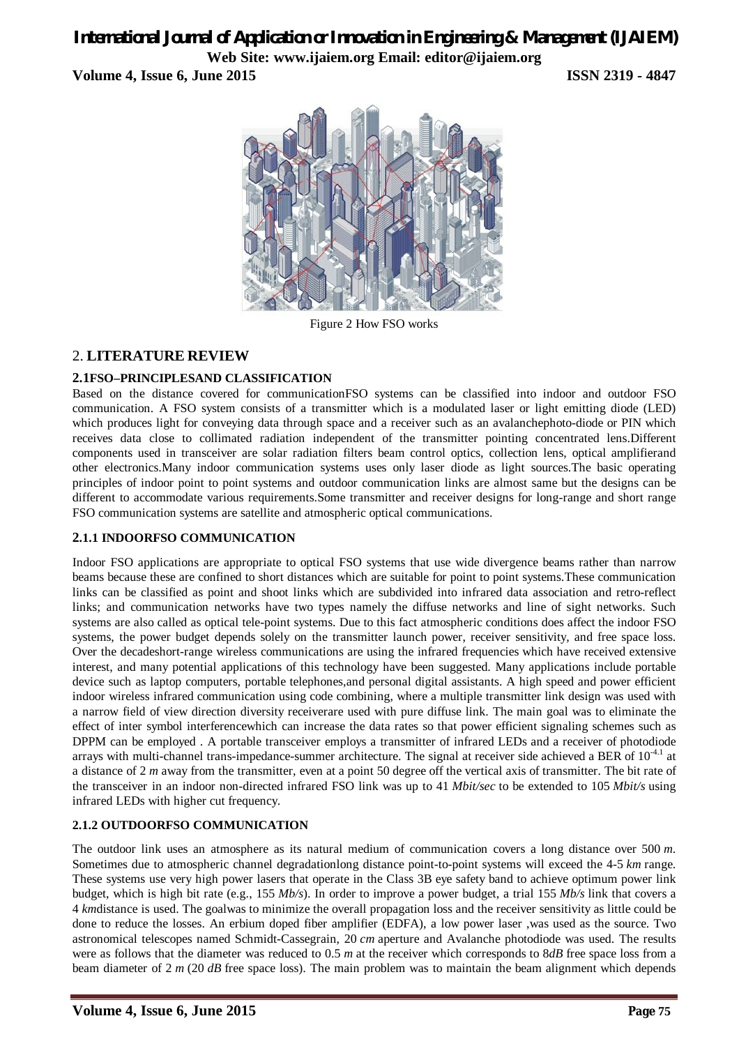**Volume 4, Issue 6, June 2015 ISSN 2319 - 4847**



Figure 2 How FSO works

## 2. **LITERATURE REVIEW**

## **2.1FSO–PRINCIPLESAND CLASSIFICATION**

Based on the distance covered for communicationFSO systems can be classified into indoor and outdoor FSO communication. A FSO system consists of a transmitter which is a modulated laser or light emitting diode (LED) which produces light for conveying data through space and a receiver such as an avalanchephoto-diode or PIN which receives data close to collimated radiation independent of the transmitter pointing concentrated lens.Different components used in transceiver are solar radiation filters beam control optics, collection lens, optical amplifierand other electronics.Many indoor communication systems uses only laser diode as light sources.The basic operating principles of indoor point to point systems and outdoor communication links are almost same but the designs can be different to accommodate various requirements.Some transmitter and receiver designs for long-range and short range FSO communication systems are satellite and atmospheric optical communications.

#### **2.1.1 INDOORFSO COMMUNICATION**

Indoor FSO applications are appropriate to optical FSO systems that use wide divergence beams rather than narrow beams because these are confined to short distances which are suitable for point to point systems.These communication links can be classified as point and shoot links which are subdivided into infrared data association and retro-reflect links; and communication networks have two types namely the diffuse networks and line of sight networks. Such systems are also called as optical tele-point systems. Due to this fact atmospheric conditions does affect the indoor FSO systems, the power budget depends solely on the transmitter launch power, receiver sensitivity, and free space loss. Over the decadeshort-range wireless communications are using the infrared frequencies which have received extensive interest, and many potential applications of this technology have been suggested. Many applications include portable device such as laptop computers, portable telephones,and personal digital assistants. A high speed and power efficient indoor wireless infrared communication using code combining, where a multiple transmitter link design was used with a narrow field of view direction diversity receiverare used with pure diffuse link. The main goal was to eliminate the effect of inter symbol interferencewhich can increase the data rates so that power efficient signaling schemes such as DPPM can be employed . A portable transceiver employs a transmitter of infrared LEDs and a receiver of photodiode arrays with multi-channel trans-impedance-summer architecture. The signal at receiver side achieved a BER of  $10^{-4.1}$  at a distance of 2 *m* away from the transmitter, even at a point 50 degree off the vertical axis of transmitter. The bit rate of the transceiver in an indoor non-directed infrared FSO link was up to 41 *Mbit/sec* to be extended to 105 *Mbit/s* using infrared LEDs with higher cut frequency.

## **2.1.2 OUTDOORFSO COMMUNICATION**

The outdoor link uses an atmosphere as its natural medium of communication covers a long distance over 500 *m*. Sometimes due to atmospheric channel degradationlong distance point-to-point systems will exceed the 4-5 *km* range. These systems use very high power lasers that operate in the Class 3B eye safety band to achieve optimum power link budget, which is high bit rate (e.g., 155 *Mb/s*). In order to improve a power budget, a trial 155 *Mb/s* link that covers a 4 *km*distance is used. The goalwas to minimize the overall propagation loss and the receiver sensitivity as little could be done to reduce the losses. An erbium doped fiber amplifier (EDFA), a low power laser ,was used as the source. Two astronomical telescopes named Schmidt-Cassegrain, 20 *cm* aperture and Avalanche photodiode was used. The results were as follows that the diameter was reduced to 0.5 *m* at the receiver which corresponds to 8*dB* free space loss from a beam diameter of 2 *m* (20 *dB* free space loss). The main problem was to maintain the beam alignment which depends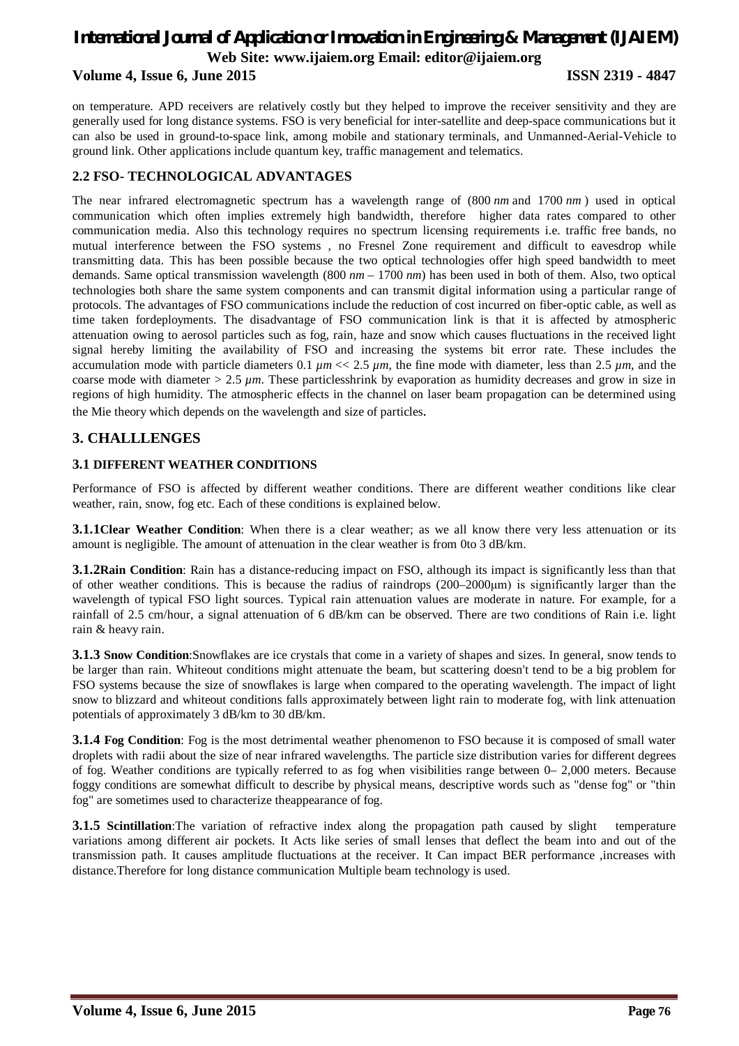### **Volume 4, Issue 6, June 2015 ISSN 2319 - 4847**

on temperature. APD receivers are relatively costly but they helped to improve the receiver sensitivity and they are generally used for long distance systems. FSO is very beneficial for inter-satellite and deep-space communications but it can also be used in ground-to-space link, among mobile and stationary terminals, and Unmanned-Aerial-Vehicle to ground link. Other applications include quantum key, traffic management and telematics.

## **2.2 FSO- TECHNOLOGICAL ADVANTAGES**

The near infrared electromagnetic spectrum has a wavelength range of (800 *nm* and 1700 *nm* ) used in optical communication which often implies extremely high bandwidth, therefore higher data rates compared to other communication media. Also this technology requires no spectrum licensing requirements i.e. traffic free bands, no mutual interference between the FSO systems , no Fresnel Zone requirement and difficult to eavesdrop while transmitting data. This has been possible because the two optical technologies offer high speed bandwidth to meet demands. Same optical transmission wavelength (800 *nm* – 1700 *nm*) has been used in both of them. Also, two optical technologies both share the same system components and can transmit digital information using a particular range of protocols. The advantages of FSO communications include the reduction of cost incurred on fiber-optic cable, as well as time taken fordeployments. The disadvantage of FSO communication link is that it is affected by atmospheric attenuation owing to aerosol particles such as fog, rain, haze and snow which causes fluctuations in the received light signal hereby limiting the availability of FSO and increasing the systems bit error rate. These includes the accumulation mode with particle diameters 0.1  $\mu$ m << 2.5  $\mu$ m, the fine mode with diameter, less than 2.5  $\mu$ m, and the coarse mode with diameter > 2.5 *µm*. These particlesshrink by evaporation as humidity decreases and grow in size in regions of high humidity. The atmospheric effects in the channel on laser beam propagation can be determined using the Mie theory which depends on the wavelength and size of particles.

## **3. CHALLLENGES**

#### **3.1 DIFFERENT WEATHER CONDITIONS**

Performance of FSO is affected by different weather conditions. There are different weather conditions like clear weather, rain, snow, fog etc. Each of these conditions is explained below.

**3.1.1Clear Weather Condition**: When there is a clear weather; as we all know there very less attenuation or its amount is negligible. The amount of attenuation in the clear weather is from 0to 3 dB/km.

**3.1.2Rain Condition**: Rain has a distance-reducing impact on FSO, although its impact is significantly less than that of other weather conditions. This is because the radius of raindrops (200–2000μm) is significantly larger than the wavelength of typical FSO light sources. Typical rain attenuation values are moderate in nature. For example, for a rainfall of 2.5 cm/hour, a signal attenuation of 6 dB/km can be observed. There are two conditions of Rain i.e. light rain & heavy rain.

**3.1.3 Snow Condition**:Snowflakes are ice crystals that come in a variety of shapes and sizes. In general, snow tends to be larger than rain. Whiteout conditions might attenuate the beam, but scattering doesn't tend to be a big problem for FSO systems because the size of snowflakes is large when compared to the operating wavelength. The impact of light snow to blizzard and whiteout conditions falls approximately between light rain to moderate fog, with link attenuation potentials of approximately 3 dB/km to 30 dB/km.

**3.1.4 Fog Condition**: Fog is the most detrimental weather phenomenon to FSO because it is composed of small water droplets with radii about the size of near infrared wavelengths. The particle size distribution varies for different degrees of fog. Weather conditions are typically referred to as fog when visibilities range between 0– 2,000 meters. Because foggy conditions are somewhat difficult to describe by physical means, descriptive words such as "dense fog" or "thin fog" are sometimes used to characterize theappearance of fog.

**3.1.5 Scintillation**: The variation of refractive index along the propagation path caused by slight temperature variations among different air pockets. It Acts like series of small lenses that deflect the beam into and out of the transmission path. It causes amplitude fluctuations at the receiver. It Can impact BER performance ,increases with distance.Therefore for long distance communication Multiple beam technology is used.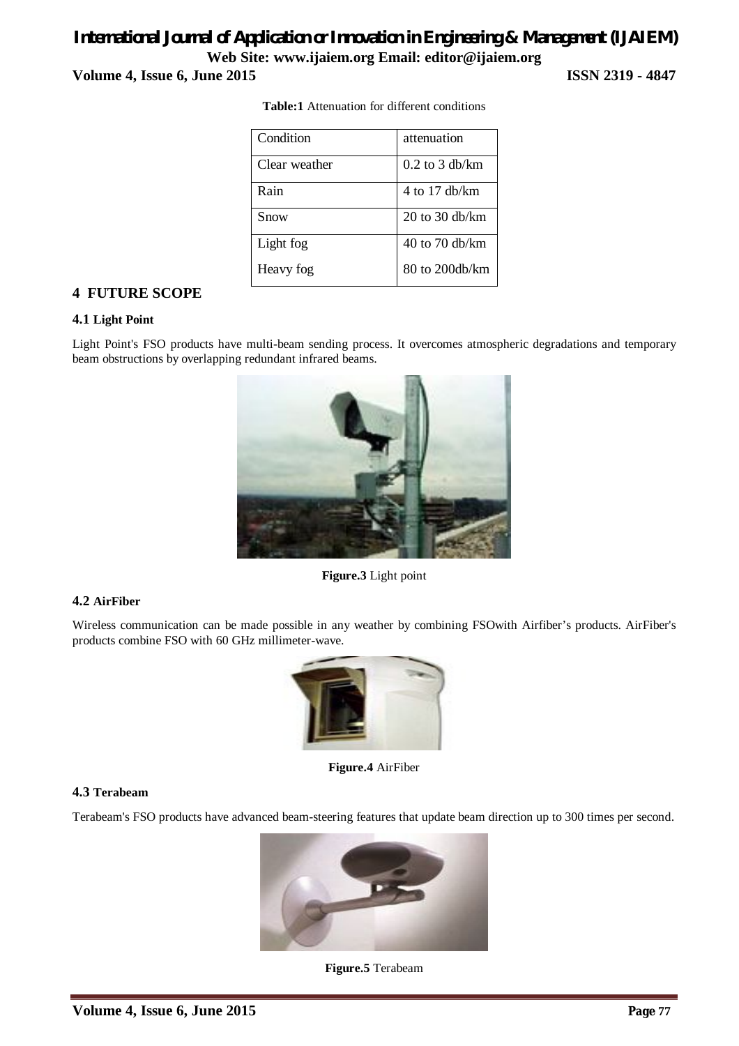## *International Journal of Application or Innovation in Engineering & Management (IJAIEM)* **Web Site: www.ijaiem.org Email: editor@ijaiem.org Volume 4, Issue 6, June 2015 ISSN 2319 - 4847**

| Condition     | attenuation      |
|---------------|------------------|
| Clear weather | $0.2$ to 3 db/km |
| Rain          | $4$ to 17 db/km  |
| Snow          | 20 to 30 db/km   |
| Light fog     | $40$ to 70 db/km |
| Heavy fog     | 80 to 200db/km   |

**Table:1** Attenuation for different conditions

## **4 FUTURE SCOPE**

#### **4.1 Light Point**

Light Point's FSO products have multi-beam sending process. It overcomes atmospheric degradations and temporary beam obstructions by overlapping redundant infrared beams.



**Figure.3** Light point

### **4.2 AirFiber**

Wireless communication can be made possible in any weather by combining FSOwith Airfiber's products. AirFiber's products combine FSO with 60 GHz millimeter-wave.



**Figure.4** AirFiber

#### **4.3 Terabeam**

Terabeam's FSO products have advanced beam-steering features that update beam direction up to 300 times per second.



**Figure.5** Terabeam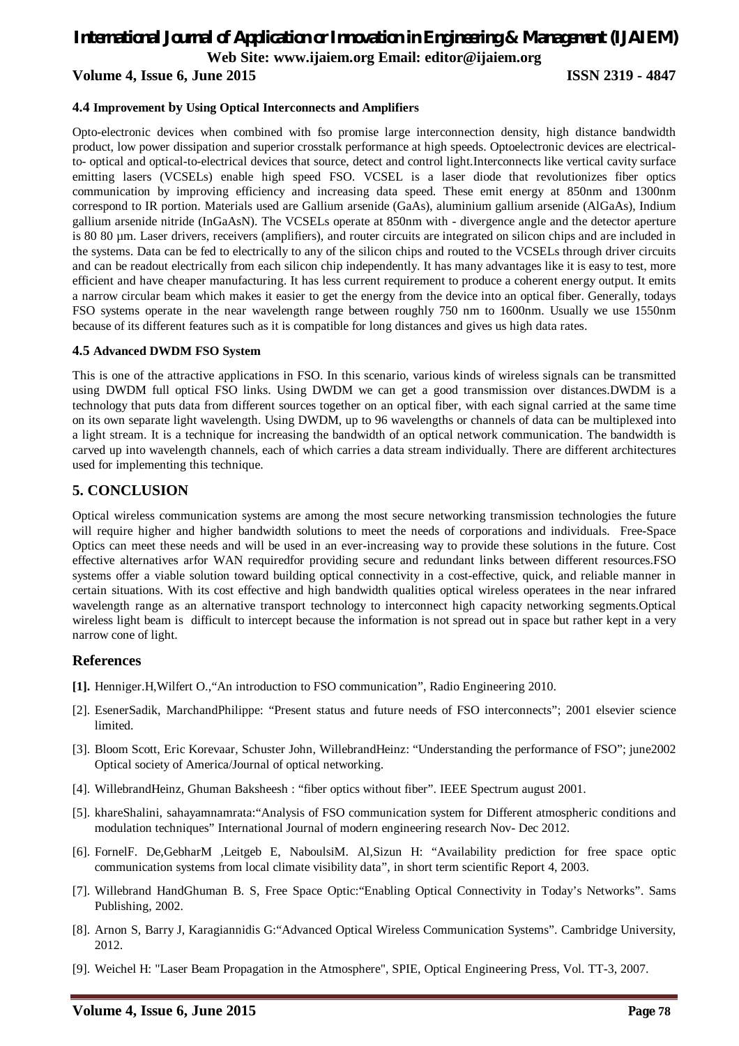#### **Volume 4, Issue 6, June 2015 ISSN 2319 - 4847**

#### **4.4 Improvement by Using Optical Interconnects and Amplifiers**

Opto-electronic devices when combined with fso promise large interconnection density, high distance bandwidth product, low power dissipation and superior crosstalk performance at high speeds. Optoelectronic devices are electricalto- optical and optical-to-electrical devices that source, detect and control light.Interconnects like vertical cavity surface emitting lasers (VCSELs) enable high speed FSO. VCSEL is a laser diode that revolutionizes fiber optics communication by improving efficiency and increasing data speed. These emit energy at 850nm and 1300nm correspond to IR portion. Materials used are Gallium arsenide (GaAs), aluminium gallium arsenide (AlGaAs), Indium gallium arsenide nitride (InGaAsN). The VCSELs operate at 850nm with - divergence angle and the detector aperture is 80 80 µm. Laser drivers, receivers (amplifiers), and router circuits are integrated on silicon chips and are included in the systems. Data can be fed to electrically to any of the silicon chips and routed to the VCSELs through driver circuits and can be readout electrically from each silicon chip independently. It has many advantages like it is easy to test, more efficient and have cheaper manufacturing. It has less current requirement to produce a coherent energy output. It emits a narrow circular beam which makes it easier to get the energy from the device into an optical fiber. Generally, todays FSO systems operate in the near wavelength range between roughly 750 nm to 1600nm. Usually we use 1550nm because of its different features such as it is compatible for long distances and gives us high data rates.

#### **4.5 Advanced DWDM FSO System**

This is one of the attractive applications in FSO. In this scenario, various kinds of wireless signals can be transmitted using DWDM full optical FSO links. Using DWDM we can get a good transmission over distances.DWDM is a technology that puts data from different sources together on an optical fiber, with each signal carried at the same time on its own separate light wavelength. Using DWDM, up to 96 wavelengths or channels of data can be multiplexed into a light stream. It is a technique for increasing the bandwidth of an optical network communication. The bandwidth is carved up into wavelength channels, each of which carries a data stream individually. There are different architectures used for implementing this technique.

## **5. CONCLUSION**

Optical wireless communication systems are among the most secure networking transmission technologies the future will require higher and higher bandwidth solutions to meet the needs of corporations and individuals. Free-Space Optics can meet these needs and will be used in an ever-increasing way to provide these solutions in the future. Cost effective alternatives arfor WAN requiredfor providing secure and redundant links between different resources.FSO systems offer a viable solution toward building optical connectivity in a cost-effective, quick, and reliable manner in certain situations. With its cost effective and high bandwidth qualities optical wireless operatees in the near infrared wavelength range as an alternative transport technology to interconnect high capacity networking segments.Optical wireless light beam is difficult to intercept because the information is not spread out in space but rather kept in a very narrow cone of light.

#### **References**

- **[1].** Henniger.H,Wilfert O.,"An introduction to FSO communication", Radio Engineering 2010.
- [2]. EsenerSadik, MarchandPhilippe: "Present status and future needs of FSO interconnects"; 2001 elsevier science limited.
- [3]. Bloom Scott, Eric Korevaar, Schuster John, WillebrandHeinz: "Understanding the performance of FSO"; june2002 Optical society of America/Journal of optical networking.
- [4]. WillebrandHeinz, Ghuman Baksheesh : "fiber optics without fiber". IEEE Spectrum august 2001.
- [5]. khareShalini, sahayamnamrata:"Analysis of FSO communication system for Different atmospheric conditions and modulation techniques" International Journal of modern engineering research Nov- Dec 2012.
- [6]. FornelF. De,GebharM ,Leitgeb E, NaboulsiM. Al,Sizun H: "Availability prediction for free space optic communication systems from local climate visibility data", in short term scientific Report 4, 2003.
- [7]. Willebrand HandGhuman B. S, Free Space Optic:"Enabling Optical Connectivity in Today's Networks". Sams Publishing, 2002.
- [8]. Arnon S, Barry J, Karagiannidis G:"Advanced Optical Wireless Communication Systems". Cambridge University, 2012.
- [9]. Weichel H: "Laser Beam Propagation in the Atmosphere", SPIE, Optical Engineering Press, Vol. TT-3, 2007.